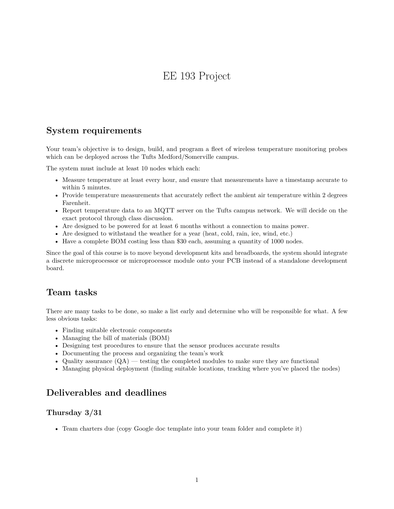# EE 193 Project

# **System requirements**

Your team's objective is to design, build, and program a fleet of wireless temperature monitoring probes which can be deployed across the Tufts Medford/Somerville campus.

The system must include at least 10 nodes which each:

- Measure temperature at least every hour, and ensure that measurements have a timestamp accurate to within 5 minutes.
- Provide temperature measurements that accurately reflect the ambient air temperature within 2 degrees Farenheit.
- Report temperature data to an MQTT server on the Tufts campus network. We will decide on the exact protocol through class discussion.
- Are designed to be powered for at least 6 months without a connection to mains power.
- Are designed to withstand the weather for a year (heat, cold, rain, ice, wind, etc.)
- Have a complete BOM costing less than \$30 each, assuming a quantity of 1000 nodes.

Since the goal of this course is to move beyond development kits and breadboards, the system should integrate a discrete microprocessor or microprocessor module onto your PCB instead of a standalone development board.

# **Team tasks**

There are many tasks to be done, so make a list early and determine who will be responsible for what. A few less obvious tasks:

- Finding suitable electronic components
- Managing the bill of materials (BOM)
- Designing test procedures to ensure that the sensor produces accurate results
- Documenting the process and organizing the team's work
- Quality assurance  $(QA)$  testing the completed modules to make sure they are functional
- Managing physical deployment (finding suitable locations, tracking where you've placed the nodes)

### **Deliverables and deadlines**

#### **Thursday 3/31**

• Team charters due (copy Google doc template into your team folder and complete it)